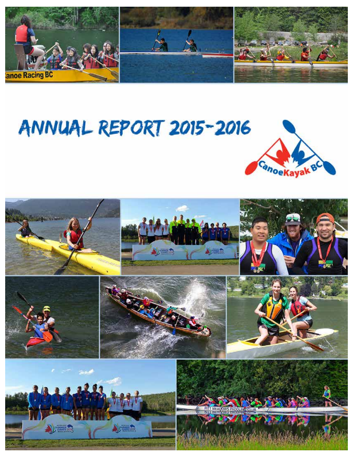

# ANNUAL REPORT 2015-2016



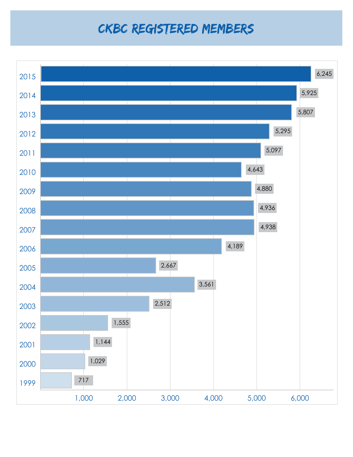### CKBC Registered Members

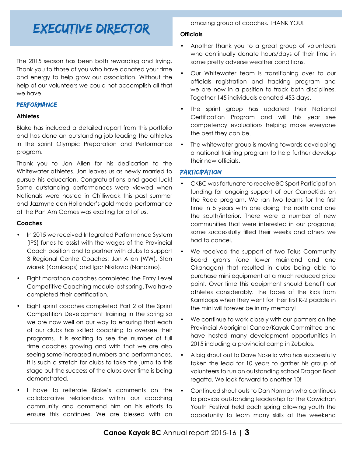### Executive Director

The 2015 season has been both rewarding and trying. Thank you to those of you who have donated your time and energy to help grow our association. Without the help of our volunteers we could not accomplish all that we have.

#### **PERFORMANCE**

#### **Athletes**

Blake has included a detailed report from this portfolio and has done an outstanding job leading the athletes in the sprint Olympic Preparation and Performance program.

Thank you to Jon Allen for his dedication to the Whitewater athletes. Jon leaves us as newly married to pursue his education. Congratulations and good luck! Some outstanding performances were viewed when Nationals were hosted in Chilliwack this past summer and Jazmyne den Hollander's gold medal performance at the Pan Am Games was exciting for all of us.

#### **Coaches**

- In 2015 we received Integrated Performance System (IPS) funds to assist with the wages of the Provincial Coach position and to partner with clubs to support 3 Regional Centre Coaches; Jon Allen (WW), Stan Marek (Kamloops) and Igor Nikitovic (Nanaimo).
- Eight marathon coaches completed the Entry Level Competitive Coaching module last spring. Two have completed their certification.
- Eight sprint coaches completed Part 2 of the Sprint Competition Development training in the spring so we are now well on our way to ensuring that each of our clubs has skilled coaching to oversee their programs. It is exciting to see the number of full time coaches growing and with that we are also seeing some increased numbers and performances. It is such a stretch for clubs to take the jump to this stage but the success of the clubs over time is being demonstrated.
- I have to reiterate Blake's comments on the collaborative relationships within our coaching community and commend him on his efforts to ensure this continues. We are blessed with an

amazing group of coaches. THANK YOU!

#### **Officials**

- • Another thank you to a great group of volunteers who continually donate hours/days of their time in some pretty adverse weather conditions.
- Our Whitewater team is transitioning over to our officials registration and tracking program and we are now in a position to track both disciplines. Together 145 individuals donated 453 days.
- The sprint group has updated their National Certification Program and will this year see competency evaluations helping make everyone the best they can be.
- The whitewater group is moving towards developing a national training program to help further develop their new officials.

#### **PARTICIPATION**

- CKBC was fortunate to receive BC Sport Participation funding for ongoing support of our CanoeKids on the Road program. We ran two teams for the first time in 5 years with one doing the north and one the south/interior. There were a number of new communities that were interested in our programs; some successfully filled their weeks and others we had to cancel.
- We received the support of two Telus Community Board grants (one lower mainland and one Okanagan) that resulted in clubs being able to purchase mini equipment at a much reduced price point. Over time this equipment should benefit our athletes considerably. The faces of the kids from Kamloops when they went for their first K-2 paddle in the mini will forever be in my memory!
- We continue to work closely with our partners on the Provincial Aboriginal Canoe/Kayak Committee and have hosted many development opportunities in 2015 including a provincial camp in Zebalos.
- A big shout out to Dave Nosella who has successfully taken the lead for 10 years to gather his group of volunteers to run an outstanding school Dragon Boat regatta. We look forward to another 10!
- Continued shout outs to Dan Norman who continues to provide outstanding leadership for the Cowichan Youth Festival held each spring allowing youth the opportunity to learn many skills at the weekend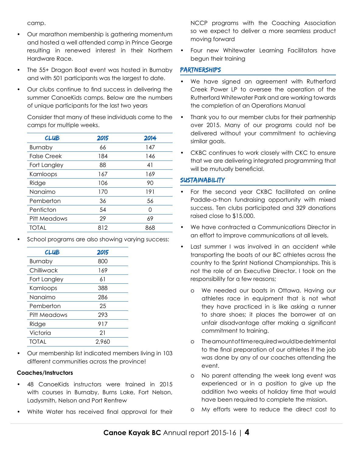camp.

- Our marathon membership is gathering momentum and hosted a well attended camp in Prince George resulting in renewed interest in their Northern Hardware Race.
- The 55+ Dragon Boat event was hosted in Burnaby and with 501 participants was the largest to date.
- • Our clubs continue to find success in delivering the summer CanoeKids camps. Below are the numbers of unique participants for the last two years

Consider that many of these individuals come to the camps for multiple weeks.

| <b>CLUB</b>        | 2015 | 2014 |
|--------------------|------|------|
| <b>Burnaby</b>     | 66   | 147  |
| <b>False Creek</b> | 184  | 146  |
| Fort Langley       | 88   | 41   |
| Kamloops           | 167  | 169  |
| Ridge              | 106  | 90   |
| Nanaimo            | 170  | 191  |
| Pemberton          | 36   | 56   |
| Penticton          | 54   | Ω    |
| Pitt Meadows       | 29   | 69   |
| <b>TOTAL</b>       | 812  | 868  |
|                    |      |      |

School programs are also showing varying success:

| <b>CLUB</b>    | 2015  |
|----------------|-------|
| <b>Burnaby</b> | 800   |
| Chilliwack     | 169   |
| Fort Langley   | 61    |
| Kamloops       | 388   |
| Nanaimo        | 286   |
| Pemberton      | 25    |
| Pitt Meadows   | 293   |
| Ridge          | 917   |
| Victoria       | 21    |
| TOTAL          | 2.960 |

Our membership list indicated members living in 103 different communities across the province!

#### **Coaches/Instructors**

- 48 CanoeKids instructors were trained in 2015 with courses in Burnaby, Burns Lake, Fort Nelson, Ladysmith, Nelson and Port Renfrew
- White Water has received final approval for their

NCCP programs with the Coaching Association so we expect to deliver a more seamless product moving forward

Four new Whitewater Learning Facilitators have begun their training

#### Partnerships

- We have signed an agreement with Rutherford Creek Power LP to oversee the operation of the Rutherford Whitewater Park and are working towards the completion of an Operations Manual
- Thank you to our member clubs for their partnership over 2015. Many of our programs could not be delivered without your commitment to achieving similar goals.
- • CKBC continues to work closely with CKC to ensure that we are delivering integrated programming that will be mutually beneficial.

#### **SUSTAINABILITY**

- For the second vear CKBC facilitated an online Paddle-a-thon fundraising opportunity with mixed success. Ten clubs participated and 329 donations raised close to \$15,000.
- We have contracted a Communications Director in an effort to improve communications at all levels.
- Last summer I was involved in an accident while transporting the boats of our BC athletes across the country to the Sprint National Championships. This is not the role of an Executive Director. I took on the responsibility for a few reasons;
	- o We needed our boats in Ottawa. Having our athletes race in equipment that is not what they have practiced in is like asking a runner to share shoes; it places the borrower at an unfair disadvantage after making a significant commitment to training.
	- o The amount of time required would be detrimental to the final preparation of our athletes if the job was done by any of our coaches attending the event.
	- o No parent attending the week long event was experienced or in a position to give up the addition two weeks of holiday time that would have been required to complete the mission.
	- o My efforts were to reduce the direct cost to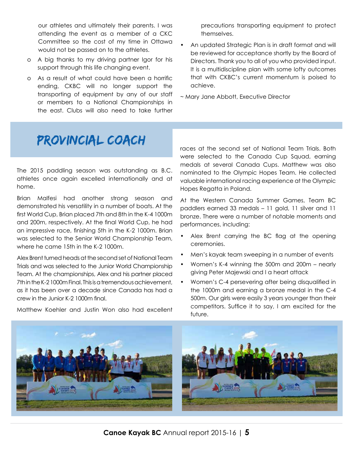our athletes and ultimately their parents. I was attending the event as a member of a CKC Committee so the cost of my time in Ottawa would not be passed on to the athletes.

- o A big thanks to my driving partner Igor for his support through this life changing event.
- o As a result of what could have been a horrific ending, CKBC will no longer support the transporting of equipment by any of our staff or members to a National Championships in the east. Clubs will also need to take further

precautions transporting equipment to protect themselves.

- An updated Strategic Plan is in draft format and will be reviewed for acceptance shortly by the Board of Directors. Thank you to all of you who provided input. It is a multidiscipline plan with some lofty outcomes that with CKBC's current momentum is poised to achieve.
- ~ Mary Jane Abbott, Executive Director

### Provincial Coach

The 2015 paddling season was outstanding as B.C. athletes once again excelled internationally and at home.

Brian Malfesi had another strong season and demonstrated his versatility in a number of boats. At the first World Cup, Brian placed 7th and 8th in the K-4 1000m and 200m, respectively. At the final World Cup, he had an impressive race, finishing 5th in the K-2 1000m. Brian was selected to the Senior World Championship Team, where he came 15th in the K-2 1000m.

Alex Brent turned heads at the second set of National Team Trials and was selected to the Junior World Championship Team. At the championships, Alex and his partner placed 7th in the K-2 1000m Final. This is a tremendous achievement, as it has been over a decade since Canada has had a crew in the Junior K-2 1000m final.

races at the second set of National Team Trials. Both were selected to the Canada Cup Squad, earning medals at several Canada Cups. Matthew was also nominated to the Olympic Hopes Team. He collected valuable international racing experience at the Olympic Hopes Regatta in Poland.

At the Western Canada Summer Games, Team BC paddlers earned 33 medals – 11 gold, 11 silver and 11 bronze. There were a number of notable moments and performances, including:

- Alex Brent carrying the BC flag at the opening ceremonies.
- Men's kayak team sweeping in a number of events
- Women's K-4 winning the 500m and 200m nearly giving Peter Majewski and I a heart attack
- Women's C-4 persevering after being disqualified in the 1000m and earning a bronze medal in the C-4 500m. Our girls were easily 3 years younger than their competitors. Suffice it to say, I am excited for the future.



Matthew Koehler and Justin Won also had excellent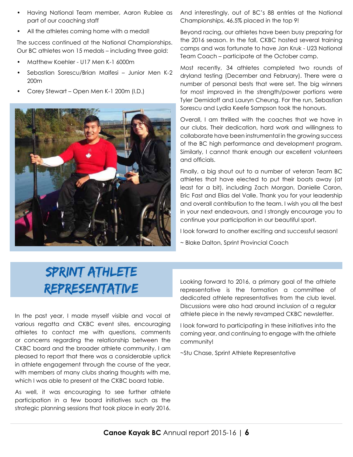- Having National Team member, Aaron Rublee as part of our coaching staff
- All the athletes coming home with a medal!

The success continued at the National Championships. Our BC athletes won 15 medals – including three gold:

- Matthew Koehler U17 Men K-1 6000m
- • Sebastian Sorescu/Brian Malfesi Junior Men K-2 200m
- Corey Stewart Open Men K-1 200m (I.D.)



And interestingly, out of BC's 88 entries at the National Championships, 46.5% placed in the top 9!

Beyond racing, our athletes have been busy preparing for the 2016 season. In the fall, CKBC hosted several training camps and was fortunate to have Jan Kruk - U23 National Team Coach – participate at the October camp.

Most recently, 34 athletes completed two rounds of dryland testing (December and February). There were a number of personal bests that were set. The big winners for most improved in the strength/power portions were Tyler Demidoff and Lauryn Cheung. For the run, Sebastian Sorescu and Lydia Keefe Sampson took the honours.

Overall, I am thrilled with the coaches that we have in our clubs. Their dedication, hard work and willingness to collaborate have been instrumental in the growing success of the BC high performance and development program. Similarly, I cannot thank enough our excellent volunteers and officials.

Finally, a big shout out to a number of veteran Team BC athletes that have elected to put their boats away (at least for a bit), including Zach Morgan, Danielle Caron, Eric Fast and Elias del Valle. Thank you for your leadership and overall contribution to the team. I wish you all the best in your next endeavours, and I strongly encourage you to continue your participation in our beautiful sport.

I look forward to another exciting and successful season!

~ Blake Dalton, Sprint Provincial Coach

### Sprint Athlete Representative

In the past year, I made myself visible and vocal at various regatta and CKBC event sites, encouraging athletes to contact me with questions, comments or concerns regarding the relationship between the CKBC board and the broader athlete community. I am pleased to report that there was a considerable uptick in athlete engagement through the course of the year, with members of many clubs sharing thoughts with me, which I was able to present at the CKBC board table.

As well, it was encouraging to see further athlete participation in a few board initiatives such as the strategic planning sessions that took place in early 2016. Looking forward to 2016, a primary goal of the athlete representative is the formation a committee of dedicated athlete representatives from the club level. Discussions were also had around inclusion of a regular athlete piece in the newly revamped CKBC newsletter.

I look forward to participating in these initiatives into the coming year, and continuing to engage with the athlete community!

~Stu Chase, Sprint Athlete Representative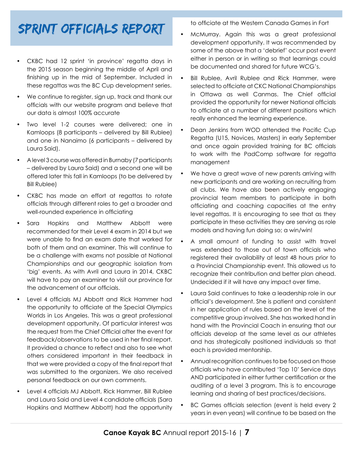### Sprint Officials Report

- CKBC had 12 sprint 'in province' regatta days in the 2015 season beginning the middle of April and finishing up in the mid of September. Included in these regattas was the BC Cup development series.
- We continue to register, sign up, track and thank our officials with our website program and believe that our data is almost 100% accurate
- Two level 1-2 courses were delivered; one in Kamloops (8 participants – delivered by Bill Rublee) and one in Nanaimo (6 participants – delivered by Laura Said).
- A level 3 course was offered in Burnaby (7 participants – delivered by Laura Said) and a second one will be offered later this fall in Kamloops (to be delivered by Bill Rublee)
- CKBC has made an effort at regattas to rotate officials through different roles to get a broader and well-rounded experience in officiating
- Sara Hopkins and Matthew Abbott were recommended for their Level 4 exam in 2014 but we were unable to find an exam date that worked for both of them and an examiner. This will continue to be a challenge with exams not possible at National Championships and our geographic isolation from 'big' events. As with Avril and Laura in 2014, CKBC will have to pay an examiner to visit our province for the advancement of our officials.
- Level 4 officials MJ Abbott and Rick Hammer had the opportunity to officiate at the Special Olympics Worlds in Los Angeles. This was a great professional development opportunity. Of particular interest was the request from the Chief Official after the event for feedback/observations to be used in her final report. It provided a chance to reflect and also to see what others considered important in their feedback in that we were provided a copy of the final report that was submitted to the organizers. We also received personal feedback on our own comments.
- Level 4 officials MJ Abbott, Rick Hammer, Bill Rublee and Laura Said and Level 4 candidate officials (Sara Hopkins and Matthew Abbott) had the opportunity

to officiate at the Western Canada Games in Fort

- McMurray. Again this was a great professional development opportunity. It was recommended by some of the above that a 'debrief' occur post event either in person or in writing so that learnings could be documented and shared for future WCG's.
- Bill Rublee, Avril Rublee and Rick Hammer, were selected to officiate at CKC National Championships in Ottawa as well Canmas. The Chief official provided the opportunity for newer National officials to officiate at a number of different positions which really enhanced the learning experience.
- Dean Jenkins from WOD attended the Pacific Cup Regatta (U15, Novices, Masters) in early September and once again provided training for BC officials to work with the PadComp software for regatta management
- We have a great wave of new parents arriving with new participants and are working on recruiting from all clubs. We have also been actively engaging provincial team members to participate in both officiating and coaching capacities at the entry level regattas. It is encouraging to see that as they participate in these activities they are serving as role models and having fun doing so; a win/win!
- A small amount of funding to assist with travel was extended to those out of town officials who registered their availability at least 48 hours prior to a Provincial Championship event. This allowed us to recognize their contribution and better plan ahead. Undecided if it will have any impact over time.
- Laura Said continues to take a leadership role in our official's development. She is patient and consistent in her application of rules based on the level of the competitive group involved. She has worked hand in hand with the Provincial Coach in ensuring that our officials develop at the same level as our athletes and has strategically positioned individuals so that each is provided mentorship.
- Annual recognition continues to be focused on those officials who have contributed 'Top 10' Service days AND participated in either further certification or the auditing of a level 3 program. This is to encourage learning and sharing of best practices/decisions.
- BC Games officials selection (event is held every 2 years in even years) will continue to be based on the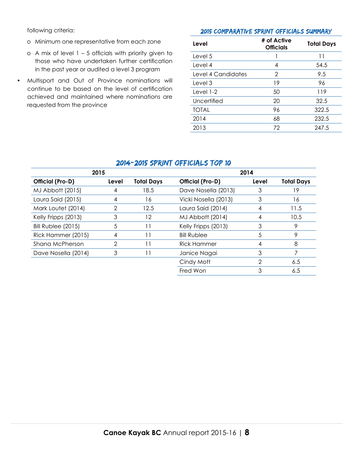following criteria:

- o Minimum one representative from each zone
- o A mix of level  $1 5$  officials with priority given to those who have undertaken further certification in the past year or audited a level 3 program
- • Multisport and Out of Province nominations will continue to be based on the level of certification achieved and maintained where nominations are requested from the province

#### 2015 Comparative Sprint Officials Summary

| Level              | # of Active<br><b>Officials</b> | <b>Total Days</b> |
|--------------------|---------------------------------|-------------------|
| Level 5            |                                 | 11                |
| Level 4            | 4                               | 54.5              |
| Level 4 Candidates | 2                               | 9.5               |
| Level 3            | 19                              | 96                |
| Level $1-2$        | 50                              | 119               |
| Uncertified        | 20                              | 32.5              |
| <b>TOTAL</b>       | 96                              | 322.5             |
| 2014               | 68                              | 232.5             |
| 2013               | 72                              | 247.5             |

| 2015                |       | 2014              |                      |       |                   |
|---------------------|-------|-------------------|----------------------|-------|-------------------|
| Official (Pro-D)    | Level | <b>Total Days</b> | Official (Pro-D)     | Level | <b>Total Days</b> |
| MJ Abbott (2015)    | 4     | 18.5              | Dave Nosella (2013)  | 3     | 19                |
| Laura Said (2015)   | 4     | 16                | Vicki Nosella (2013) | 3     | 16                |
| Mark Loutet (2014)  |       | 12.5              | Laura Said (2014)    |       | 11.5              |
| Kelly Fripps (2013) | 3     | 12                | MJ Abbott (2014)     | 4     | 10.5              |
| Bill Rublee (2015)  | 5     | 11                | Kelly Fripps (2013)  | 3     | 9                 |
| Rick Hammer (2015)  | 4     | 11                | <b>Bill Rublee</b>   | 5     | 9                 |
| Shana McPherson     | 2     | $\overline{1}$    | <b>Rick Hammer</b>   | 4     | 8                 |
| Dave Nosella (2014) | 3     | 11                | Janice Nagai         | 3     | 7                 |
|                     |       |                   | Cindy Mott           | 2     | 6.5               |
|                     |       |                   | Fred Won             | 3     | 6.5               |

### 2014-2015 Sprint Officials Top 10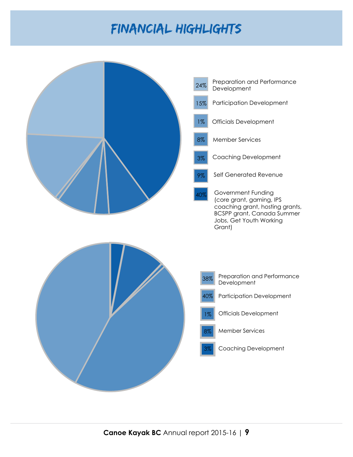### Financial Highlights

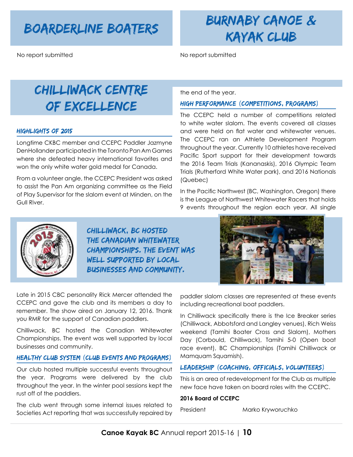No report submitted No report submitted

### Boarderline Boaters burnaby canoe & Kayak Club

### Chilliwack Centre of excellence

#### Highlights of 2015

Longtime CKBC member and CCEPC Paddler Jazmyne DenHollander participated in the Toronto Pan Am Games where she defeated heavy international favorites and won the only white water gold medal for Canada.

From a volunteer angle, the CCEPC President was asked to assist the Pan Am organizing committee as the Field of Play Supervisor for the slalom event at Minden, on the Gull River.

the end of the year.

#### High Performance (competitions, programs)

The CCEPC held a number of competitions related to white water slalom. The events covered all classes and were held on flat water and whitewater venues. The CCEPC ran an Athlete Development Program throughout the year. Currently 10 athletes have received Pacific Sport support for their development towards the 2016 Team Trials (Kananaskis), 2016 Olympic Team Trials (Rutherford White Water park), and 2016 Nationals (Quebec)

In the Pacific Northwest (BC, Washington, Oregon) there is the League of Northwest Whitewater Racers that holds 9 events throughout the region each year. All single



Chilliwack, BC hosted the Canadian Whitewater Championships. The event was well supported by local businesses and community.



Late in 2015 CBC personality Rick Mercer attended the CCEPC and gave the club and its members a day to remember. The show aired on January 12, 2016. Thank you RMR for the support of Canadian paddlers.

Chilliwack, BC hosted the Canadian Whitewater Championships. The event was well supported by local businesses and community.

#### Healthy Club System (club events and programs)

Our club hosted multiple successful events throughout the year. Programs were delivered by the club throughout the year. In the winter pool sessions kept the rust off of the paddlers.

The club went through some internal issues related to Societies Act reporting that was successfully repaired by paddler slalom classes are represented at these events including recreational boat paddlers.

In Chilliwack specifically there is the Ice Breaker series (Chilliwack, Abbotsford and Langley venues), Rich Weiss weekend (Tamihi Boater Cross and Slalom), Mothers Day (Corbould, Chilliwack), Tamihi 5-0 (Open boat race event), BC Championships (Tamihi Chilliwack or Mamquam Squamish).

#### Leadership (coaching, Officials, volunteers)

This is an area of redevelopment for the Club as multiple new face have taken on board roles with the CCEPC.

#### **2016 Board of CCEPC**

President Marko Kryworuchko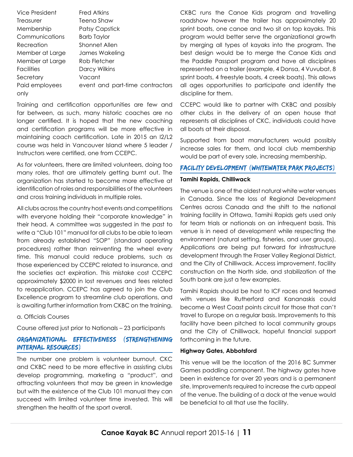| Vice President    | <b>Fred Atkins</b>              |
|-------------------|---------------------------------|
| Treasurer         | Teena Shaw                      |
| Membership        | <b>Patsy Capstick</b>           |
| Communications    | Barb Taylor                     |
| Recreation        | Shonnet Allen                   |
| Member at Large   | James Wakeling                  |
| Member at Large   | Rob Fletcher                    |
| <b>Facilities</b> | Darcy Wilkins                   |
| Secretary         | Vacant                          |
| Paid employees    | event and part-time contractors |
| only              |                                 |
|                   |                                 |

Training and certification opportunities are few and far between, as such, many historic coaches are no longer certified. It is hoped that the new coaching and certification programs will be more effective in maintaining coach certification. Late in 2015 an I2/L2 course was held in Vancouver Island where 5 leader / Instructors were certified, one from CCEPC.

As for volunteers, there are limited volunteers, doing too many roles, that are ultimately getting burnt out. The organization has started to become more effective at identification of roles and responsibilities of the volunteers and cross training individuals in multiple roles.

All clubs across the country host events and competitions with everyone holding their "corporate knowledge" in their head. A committee was suggested in the past to write a "Club 101" manual for all clubs to be able to learn from already established "SOP" (standard operating procedures) rather than reinventing the wheel every time. This manual could reduce problems, such as those experienced by CCEPC related to insurance, and the societies act expiration. This mistake cost CCEPC approximately \$2000 in lost revenues and fees related to reapplication. CCEPC has agreed to join the Club Excellence program to streamline club operations, and is awaiting further information from CKBC on the training.

#### a. Officials Courses

Course offered just prior to Nationals – 23 participants

#### Organizational Effectiveness (strengthening internal resources)

The number one problem is volunteer burnout. CKC and CKBC need to be more effective in assisting clubs develop programming, marketing a "product", and attracting volunteers that may be green in knowledge but with the existence of the Club 101 manual they can succeed with limited volunteer time invested. This will strengthen the health of the sport overall.

CKBC runs the Canoe Kids program and travelling roadshow however the trailer has approximately 20 sprint boats, one canoe and two sit on top kayaks. This program would better serve the organizational growth by merging all types of kayaks into the program. The best design would be to merge the Canoe Kids and the Paddle Passport program and have all disciplines represented on a trailer (example, 4 Donsa, 4 Vuvubat, 8 sprint boats, 4 freestyle boats, 4 creek boats). This allows all ages opportunities to participate and identify the discipline for them.

CCEPC would like to partner with CKBC and possibly other clubs in the delivery of an open house that represents all disciplines of CKC, individuals could have all boats at their disposal.

Supported from boat manufacturers would possibly increase sales for them, and local club membership would be part of every sale, increasing membership.

#### Facility Development (whitewater park projects)

#### **Tamihi Rapids, Chilliwack**

The venue is one of the oldest natural white water venues in Canada. Since the loss of Regional Development Centres across Canada and the shift to the national training facility in Ottawa, Tamihi Rapids gets used only for team trials or nationals on an infrequent basis. This venue is in need of development while respecting the environment (natural setting, fisheries, and user groups). Applications are being put forward for infrastructure development through the Fraser Valley Regional District, and the City of Chilliwack. Access improvement, facility construction on the North side, and stabilization of the South bank are just a few examples.

Tamihi Rapids should be host to ICF races and teamed with venues like Rutherford and Kananaskis could become a West Coast points circuit for those that can't travel to Europe on a regular basis. Improvements to this facility have been pitched to local community groups and the City of Chilliwack, hopeful financial support forthcoming in the future.

#### **Highway Gates, Abbotsford**

This venue will be the location of the 2016 BC Summer Games paddling component. The highway gates have been in existence for over 20 years and is a permanent site. Improvements required to increase the curb appeal of the venue. The building of a dock at the venue would be beneficial to all that use the facility.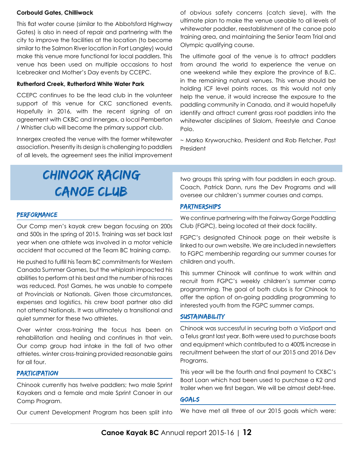#### **Corbould Gates, Chilliwack**

This flat water course (similar to the Abbotsford Highway Gates) is also in need of repair and partnering with the city to improve the facilities at the location (to become similar to the Salmon River location in Fort Langley) would make this venue more functional for local paddlers. This venue has been used on multiple occasions to host Icebreaker and Mother's Day events by CCEPC.

#### **Rutherford Creek, Rutherford White Water Park**

CCEPC continues to be the lead club in the volunteer support of this venue for CKC sanctioned events. Hopefully in 2016, with the recent signing of an agreement with CKBC and Innergex, a local Pemberton / Whistler club will become the primary support club.

Innergex created the venue with the former whitewater association. Presently its design is challenging to paddlers of all levels, the agreement sees the initial improvement of obvious safety concerns (catch sieve), with the ultimate plan to make the venue useable to all levels of whitewater paddler, reestablishment of the canoe polo training area, and maintaining the Senior Team Trial and Olympic qualifying course.

The ultimate goal of the venue is to attract paddlers from around the world to experience the venue on one weekend while they explore the province of B.C. in the remaining natural venues. This venue should be holding ICF level points races, as this would not only help the venue, it would increase the exposure to the paddling community in Canada, and it would hopefully identify and attract current grass root paddlers into the whitewater disciplines of Slalom, Freestyle and Canoe Polo.

~ Marko Kryworuchko, President and Rob Fletcher, Past President

### Chinook Racing Canoe Club

#### **PERFORMANCE**

Our Comp men's kayak crew began focusing on 200s and 500s in the spring of 2015. Training was set back last year when one athlete was involved in a motor vehicle accident that occurred at the Team BC training camp.

He pushed to fulfill his Team BC commitments for Western Canada Summer Games, but the whiplash impacted his abilities to perform at his best and the number of his races was reduced. Post Games, he was unable to compete at Provincials or Nationals. Given those circumstances, expenses and logistics, his crew boat partner also did not attend Nationals. It was ultimately a transitional and quiet summer for these two athletes.

Over winter cross-training the focus has been on rehabilitation and healing and continues in that vein. Our comp group had intake in the fall of two other athletes. winter cross-training provided reasonable gains for all four.

#### **PARTICIPATION**

Chinook currently has twelve paddlers; two male Sprint Kayakers and a female and male Sprint Canoer in our Comp Program.

Our current Development Program has been split into

two groups this spring with four paddlers in each group. Coach, Patrick Dann, runs the Dev Programs and will oversee our children's summer courses and camps.

#### Partnerships

We continue partnering with the Fairway Gorge Paddling Club (FGPC), being located at their dock facility.

FGPC's designated Chinook page on their website is linked to our own website. We are included in newsletters to FGPC membership regarding our summer courses for children and youth.

This summer Chinook will continue to work within and recruit from FGPC's weekly children's summer camp programming. The goal of both clubs is for Chinook to offer the option of on-going paddling programming to interested youth from the FGPC summer camps.

#### **SUSTAINABILITY**

Chinook was successful in securing both a ViaSport and a Telus grant last year. Both were used to purchase boats and equipment which contributed to a 400% increase in recruitment between the start of our 2015 and 2016 Dev Programs.

This year will be the fourth and final payment to CKBC's Boat Loan which had been used to purchase a K2 and trailer when we first began. We will be almost debt-free.

#### Goals

We have met all three of our 2015 goals which were: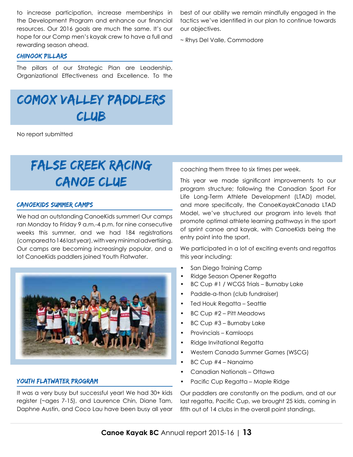to increase participation, increase memberships in the Development Program and enhance our financial resources. Our 2016 goals are much the same. It's our hope for our Comp men's kayak crew to have a full and rewarding season ahead.

#### CHINOOK Pillars

The pillars of our Strategic Plan are Leadership, Organizational Effectiveness and Excellence. To the

## Comox valley paddlers club

No report submitted

### False creek racing canoe clue

#### CanoeKids Summer Camps

We had an outstanding CanoeKids summer! Our camps ran Monday to Friday 9 a.m.-4 p.m. for nine consecutive weeks this summer, and we had 184 registrations (compared to 146 last year), with very minimal advertising. Our camps are becoming increasingly popular, and a lot CanoeKids paddlers joined Youth Flatwater.



#### Youth Flatwater program

It was a very busy but successful year! We had 30+ kids register (~ages 7-15), and Laurence Chin, Diane Tam, Daphne Austin, and Coco Lau have been busy all year best of our ability we remain mindfully engaged in the tactics we've identified in our plan to continue towards our objectives.

~ Rhys Del Valle, Commodore

coaching them three to six times per week.

This year we made significant improvements to our program structure; following the Canadian Sport For Life Long-Term Athlete Development (LTAD) model, and more specifically, the CanoeKayakCanada LTAD Model, we've structured our program into levels that promote optimal athlete learning pathways in the sport of sprint canoe and kayak, with CanoeKids being the entry point into the sport.

We participated in a lot of exciting events and regattas this year including:

- San Diego Training Camp
- • Ridge Season Opener Regatta
- BC Cup #1 / WCGS Trials Burnaby Lake
- Paddle-a-thon (club fundraiser)
- • Ted Houk Regatta Seattle
- BC Cup #2 Pitt Meadows
- BC Cup #3 Burnaby Lake
- • Provincials Kamloops
- Ridge Invitational Regatta
- • Western Canada Summer Games (WSCG)
- • BC Cup #4 Nanaimo
- Canadian Nationals Ottawa
- Pacific Cup Regatta Maple Ridge

Our paddlers are constantly on the podium, and at our last regatta, Pacific Cup, we brought 25 kids, coming in fifth out of 14 clubs in the overall point standings.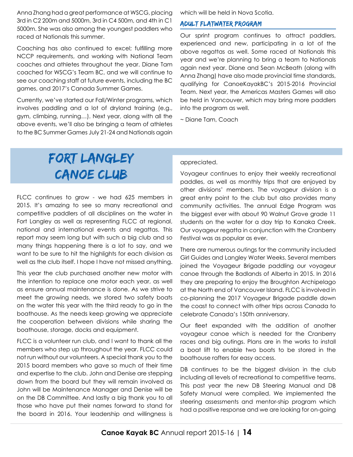Anna Zhang had a great performance at WSCG, placing 3rd in C2 200m and 5000m, 3rd in C4 500m, and 4th in C1 5000m. She was also among the youngest paddlers who raced at Nationals this summer.

Coaching has also continued to excel; fulfilling more NCCP requirements, and working with National Team coaches and athletes throughout the year. Diane Tam coached for WSCG's Team BC, and we will continue to see our coaching staff at future events, including the BC games, and 2017's Canada Summer Games.

Currently, we've started our Fall/Winter programs, which involves paddling and a lot of dryland training (e.g., gym, climbing, running…). Next year, along with all the above events, we'll also be bringing a team of athletes to the BC Summer Games July 21-24 and Nationals again which will be held in Nova Scotia.

#### Adult Flatwater program

Our sprint program continues to attract paddlers, experienced and new, participating in a lot of the above regattas as well. Some raced at Nationals this year and we're planning to bring a team to Nationals again next year. Diane and Sean McBeath (along with Anna Zhang) have also made provincial time standards, qualifying for CanoeKayakBC's 2015-2016 Provincial Team. Next year, the Americas Masters Games will also be held in Vancouver, which may bring more paddlers into the program as well.

~ Diane Tam, Coach

### Fort Langley Canoe Club

FLCC continues to grow - we had 625 members in 2015. It's amazing to see so many recreational and competitive paddlers of all disciplines on the water in Fort Langley as well as representing FLCC at regional, national and international events and regattas. This report may seem long but with such a big club and so many things happening there is a lot to say, and we want to be sure to hit the highlights for each division as well as the club itself. I hope I have not missed anything.

This year the club purchased another new motor with the intention to replace one motor each year, as well as ensure annual maintenance is done. As we strive to meet the growing needs, we stored two safety boats on the water this year with the third ready to go in the boathouse. As the needs keep growing we appreciate the cooperation between divisions while sharing the boathouse, storage, docks and equipment.

FLCC is a volunteer run club, and I want to thank all the members who step up throughout the year. FLCC could not run without our volunteers. A special thank you to the 2015 board members who gave so much of their time and expertise to the club. John and Denise are stepping down from the board but they will remain involved as John will be Maintenance Manager and Denise will be on the DB Committee. And lastly a big thank you to all those who have put their names forward to stand for the board in 2016. Your leadership and willingness is appreciated.

Voyageur continues to enjoy their weekly recreational paddles, as well as monthly trips that are enjoyed by other divisions' members. The voyageur division is a great entry point to the club but also provides many community activities. The annual Edge Program was the biggest ever with about 90 Walnut Grove grade 11 students on the water for a day trip to Kanaka Creek. Our voyageur regatta in conjunction with the Cranberry Festival was as popular as ever.

There are numerous outings for the community included Girl Guides and Langley Water Weeks. Several members joined the Voyageur Brigade paddling our voyageur canoe through the Badlands of Alberta in 2015. In 2016 they are preparing to enjoy the Broughton Archipelago at the North end of Vancouver Island. FLCC is involved in co-planning the 2017 Voyageur Brigade paddle down the coast to connect with other trips across Canada to celebrate Canada's 150th anniversary.

Our fleet expanded with the addition of another voyageur canoe which is needed for the Cranberry races and big outings. Plans are in the works to install a boat lift to enable two boats to be stored in the boathouse rafters for easy access.

DB continues to be the biggest division in the club including all levels of recreational to competitive teams. This past year the new DB Steering Manual and DB Safety Manual were compiled. We implemented the steering assessments and mentor-ship program which had a positive response and we are looking for on-going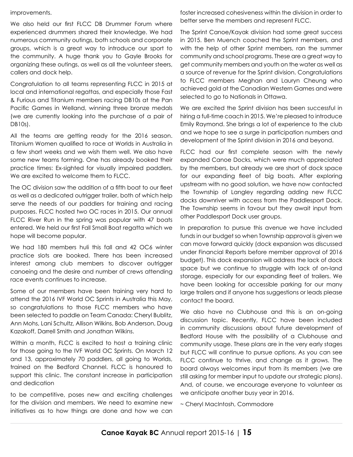#### improvements.

We also held our first FLCC DB Drummer Forum where experienced drummers shared their knowledge. We had numerous community outings, both schools and corporate groups, which is a great way to introduce our sport to the community. A huge thank you to Gayle Brooks for organizing these outings, as well as all the volunteer steers, callers and dock help.

Congratulation to all teams representing FLCC in 2015 at local and international regattas, and especially those Fast & Furious and Titanium members racing DB10s at the Pan Pacific Games in Welland, winning three bronze medals (we are currently looking into the purchase of a pair of DB10s).

All the teams are getting ready for the 2016 season. Titanium Women qualified to race at Worlds in Australia in a few short weeks and we wish them well. We also have some new teams forming. One has already booked their practice times: Ex-sighted for visually impaired paddlers. We are excited to welcome them to FLCC.

The OC division saw the addition of a fifth boat to our fleet as well as a dedicated outrigger trailer, both of which help serve the needs of our paddlers for training and racing purposes. FLCC hosted two OC races in 2015. Our annual FLCC River Run in the spring was popular with 47 boats entered. We held our first Fall Small Boat regatta which we hope will become popular.

We had 180 members huli this fall and 42 OC6 winter practice slots are booked. There has been increased interest among club members to discover outrigger canoeing and the desire and number of crews attending race events continues to increase.

Some of our members have been training very hard to attend the 2016 IVF World OC Sprints in Australia this May, so congratulations to those FLCC members who have been selected to paddle on Team Canada: Cheryl Bublitz, Ann Mohs, Lani Schultz, Allison Wilkins, Bob Anderson, Doug Kazakoff, Darrell Smith and Jonathan Wilkins.

Within a month, FLCC is excited to host a training clinic for those going to the IVF World OC Sprints. On March 12 and 13, approximately 70 paddlers, all going to Worlds, trained on the Bedford Channel. FLCC is honoured to support this clinic. The constant increase in participation and dedication

to be competitive, poses new and exciting challenges for the division and members. We need to examine new initiatives as to how things are done and how we can foster increased cohesiveness within the division in order to better serve the members and represent FLCC.

The Sprint Canoe/Kayak division had some great success in 2015. Ben Muench coached the Sprint members, and with the help of other Sprint members, ran the summer community and school programs. These are a great way to get community members and youth on the water as well as a source of revenue for the Sprint division. Congratulations to FLCC members Meghan and Lauryn Cheung who achieved gold at the Canadian Western Games and were selected to go to Nationals in Ottawa.

We are excited the Sprint division has been successful in hiring a full-time coach in 2015. We're pleased to introduce Emily Raymond. She brings a lot of experience to the club and we hope to see a surge in participation numbers and development of the Sprint division in 2016 and beyond.

FLCC had our first complete season with the newly expanded Canoe Docks, which were much appreciated by the members, but already we are short of dock space for our expanding fleet of big boats. After exploring upstream with no good solution, we have now contacted the Township of Langley regarding adding new FLCC docks downriver with access from the Paddlesport Dock. The Township seems in favour but they await input from other Paddlesport Dock user groups.

In preparation to pursue this avenue we have included funds in our budget so when Township approval is given we can move forward quickly (dock expansion was discussed under Financial Reports before member approval of 2016 budget). This dock expansion will address the lack of dock space but we continue to struggle with lack of on-land storage, especially for our expanding fleet of trailers. We have been looking for accessible parking for our many large trailers and if anyone has suggestions or leads please contact the board.

We also have no Clubhouse and this is an on-going discussion topic. Recently, FLCC have been included in community discussions about future development of Bedford House with the possibility of a Clubhouse and community usage. These plans are in the very early stages but FLCC will continue to pursue options. As you can see FLCC continue to thrive, and change as it grows. The board always welcomes input from its members (we are still asking for member input to update our strategic plans). And, of course, we encourage everyone to volunteer as we anticipate another busy year in 2016.

~ Cheryl MacIntosh, Commodore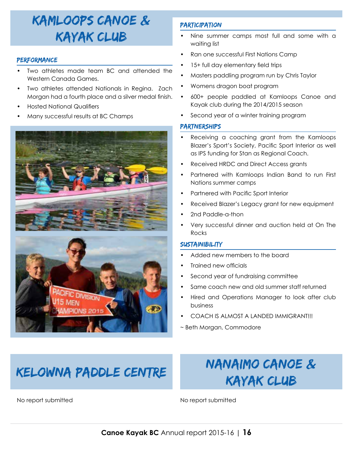### Kamloops Canoe & Kayak Club

#### **PERFORMANCE**

- Two athletes made team BC and attended the Western Canada Games.
- Two athletes attended Nationals in Regina. Zach Morgan had a fourth place and a silver medal finish.
- **Hosted National Qualifiers**
- Many successful results at BC Champs



#### **PARTICIPATION**

- Nine summer camps most full and some with a waiting list
- Ran one successful First Nations Camp
- 15+ full day elementary field trips
- Masters paddling program run by Chris Taylor
- Womens dragon boat program
- • 600+ people paddled at Kamloops Canoe and Kayak club during the 2014/2015 season
- Second year of a winter training program

#### partnerships

- Receiving a coaching grant from the Kamloops Blazer's Sport's Society, Pacific Sport Interior as well as IPS funding for Stan as Regional Coach.
- Received HRDC and Direct Access grants
- Partnered with Kamloops Indian Band to run First Nations summer camps
- Partnered with Pacific Sport Interior
- Received Blazer's Legacy grant for new equipment
- 2nd Paddle-a-thon
- Very successful dinner and auction held at On The Rocks

#### **SUSTAINIBILITY**

- Added new members to the board
- Trained new officials
- Second year of fundraising committee
- Same coach new and old summer staff returned
- Hired and Operations Manager to look after club business
- COACH IS ALMOST A LANDED IMMIGRANT!!!
- ~ Beth Morgan, Commodore

## KELOWNA PADDLE CENTRE NANAIMO CANOE & Kayak Club

No report submitted No report submitted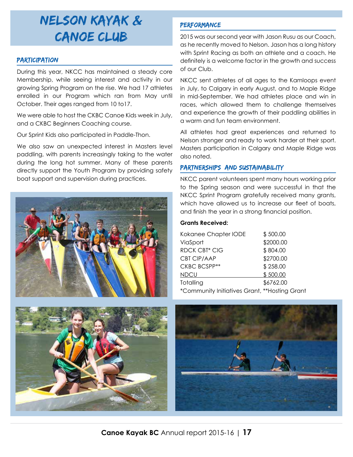### Nelson Kayak & Canoe Club

#### **PARTICIPATION**

During this year, NKCC has maintained a steady core Membership, while seeing interest and activity in our growing Spring Program on the rise. We had 17 athletes enrolled in our Program which ran from May until October. Their ages ranged from 10 to17.

We were able to host the CKBC Canoe Kids week in July, and a CKBC Beginners Coaching course.

Our Sprint Kids also participated in Paddle-Thon.

We also saw an unexpected interest in Masters level paddling, with parents increasingly taking to the water during the long hot summer. Many of these parents directly support the Youth Program by providing safety boat support and supervision during practices.





### **PERFORMANCE**

2015 was our second year with Jason Rusu as our Coach, as he recently moved to Nelson. Jason has a long history with Sprint Racing as both an athlete and a coach. He definitely is a welcome factor in the growth and success of our Club.

NKCC sent athletes of all ages to the Kamloops event in July, to Calgary in early August, and to Maple Ridge in mid-September. We had athletes place and win in races, which allowed them to challenge themselves and experience the growth of their paddling abilities in a warm and fun team environment.

All athletes had great experiences and returned to Nelson stronger and ready to work harder at their sport. Masters participation in Calgary and Maple Ridge was also noted.

#### partnerships and sustainability

NKCC parent volunteers spent many hours working prior to the Spring season and were successful in that the NKCC Sprint Program gratefully received many grants, which have allowed us to increase our fleet of boats, and finish the year in a strong financial position.

#### **Grants Received:**

| Kokanee Chapter IODE                          | \$500.00  |
|-----------------------------------------------|-----------|
| ViaSport                                      | \$2000.00 |
| <b>RDCK CBT* CIG</b>                          | \$804.00  |
| CBT CIP/AAP                                   | \$2700.00 |
| CKBC BCSPP**                                  | \$258.00  |
| NDCU                                          | \$500.00  |
| Totalling                                     | \$6762.00 |
| *Community Initiatives Grant, **Hosting Grant |           |
|                                               |           |

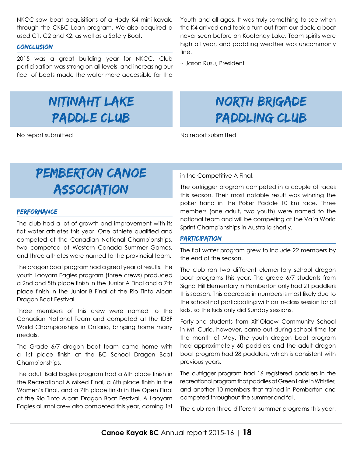NKCC saw boat acquisitions of a Hody K4 mini kayak, through the CKBC Loan program. We also acquired a used C1, C2 and K2, as well as a Safety Boat.

#### conclusion

2015 was a great building year for NKCC. Club participation was strong on all levels, and increasing our fleet of boats made the water more accessible for the

### Nitinaht Lake Paddle Club

No report submitted No report submitted

Youth and all ages. It was truly something to see when the K4 arrived and took a turn out from our dock, a boat never seen before on Kootenay Lake. Team spirits were high all year, and paddling weather was uncommonly fine.

~ Jason Rusu, President

### North Brigade Paddling Club

### Pemberton Canoe **ASSOCIATION**

#### **PERFORMANCE**

The club had a lot of growth and improvement with its flat water athletes this year. One athlete qualified and competed at the Canadian National Championships, two competed at Western Canada Summer Games, and three athletes were named to the provincial team.

The dragon boat program had a great year of results. The youth Laoyam Eagles program (three crews) produced a 2nd and 5th place finish in the Junior A Final and a 7th place finish in the Junior B Final at the Rio Tinto Alcan Dragon Boat Festival.

Three members of this crew were named to the Canadian National Team and competed at the IDBF World Championships in Ontario, bringing home many medals.

The Grade 6/7 dragon boat team came home with a 1st place finish at the BC School Dragon Boat Championships.

The adult Bald Eagles program had a 6th place finish in the Recreational A Mixed Final, a 6th place finish in the Women's Final, and a 7th place finish in the Open Final at the Rio Tinto Alcan Dragon Boat Festival. A Laoyam Eagles alumni crew also competed this year, coming 1st in the Competitive A Final.

The outrigger program competed in a couple of races this season. Their most notable result was winning the poker hand in the Poker Paddle 10 km race. Three members (one adult, two youth) were named to the national team and will be competing at the Va'a World Sprint Championships in Australia shortly.

#### Participation

The flat water program grew to include 22 members by the end of the season.

The club ran two different elementary school dragon boat programs this year. The grade 6/7 students from Signal Hill Elementary in Pemberton only had 21 paddlers this season. This decrease in numbers is most likely due to the school not participating with an in-class session for all kids, so the kids only did Sunday sessions.

Forty-one students from Xit'Olacw Community School in Mt. Curie, however, came out during school time for the month of May. The youth dragon boat program had approximately 60 paddlers and the adult dragon boat program had 28 paddlers, which is consistent with previous years.

The outrigger program had 16 registered paddlers in the recreational program that paddles at Green Lake in Whistler, and another 10 members that trained in Pemberton and competed throughout the summer and fall.

The club ran three different summer programs this year.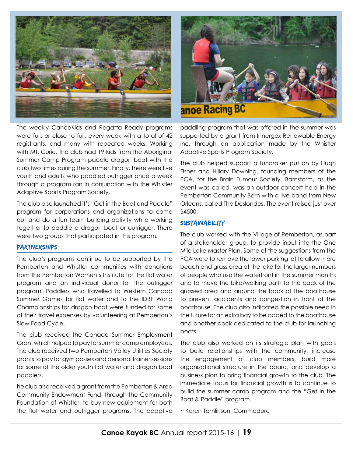

The weekly CanoeKids and Regatta Ready programs were full, or close to full, every week with a total of 42 registrants, and many with repeated weeks. Working with Mt. Curie, the club had 19 kids from the Aboriginal Summer Camp Program paddle dragon boat with the club two times during the summer. Finally, there were five youth and adults who paddled outrigger once a week through a program ran in conjunction with the Whistler Adaptive Sports Program Society.

The club also launched it's "Get in the Boat and Paddle" program for corporations and organizations to come out and do a fun team building activity while working together to paddle a dragon boat or outrigger. There were two groups that participated in this program.

#### **PARTNERSHIPS**

The club's programs continue to be supported by the Pemberton and Whistler communities with donations from the Pemberton Women's Institute for the flat water program and an individual donor for the outrigger program. Paddlers who travelled to Western Canada Summer Games for flat water and to the IDBF World Championships for dragon boat were funded for some of their travel expenses by volunteering at Pemberton's Slow Food Cycle.

The club received the Canada Summer Employment Grant which helped to pay for summer camp employees. The club received two Pemberton Valley Utilities Society grants to pay for gym passes and personal trainer sessions for some of the older youth flat water and dragon boat paddlers.

he club also received a grant from the Pemberton & Area Community Endowment Fund, through the Community Foundation of Whistler, to buy new equipment for both the flat water and outrigger programs. The adaptive



paddling program that was offered in the summer was supported by a grant from Innergex Renewable Energy Inc. through an application made by the Whistler Adaptive Sports Program Society.

The club helped support a fundraiser put on by Hugh Fisher and Hillary Downing, founding members of the PCA, for the Brain Tumour Society. Barnstorm, as the event was called, was an outdoor concert held in the Pemberton Community Barn with a live band from New Orleans, called The Deslondes. The event raised just over \$4500.

#### **SUSTAINABILITY**

The club worked with the Village of Pemberton, as part of a stakeholder group, to provide input into the One Mile Lake Master Plan. Some of the suggestions from the PCA were to remove the lower parking lot to allow more beach and grass area at the lake for the larger numbers of people who use the waterfront in the summer months and to move the bike/walking path to the back of the grassed area and around the back of the boathouse to prevent accidents and congestion in front of the boathouse. The club also indicated the possible need in the future for an extra bay to be added to the boathouse and another dock dedicated to the club for launching boats.

The club also worked on its strategic plan with goals to build relationships with the community, increase the engagement of club members, build more organizational structure in the board, and develop a business plan to bring financial growth to the club. The immediate focus for financial growth is to continue to build the summer camp program and the "Get in the Boat & Paddle" program.

~ Karen Tomlinson, Commodore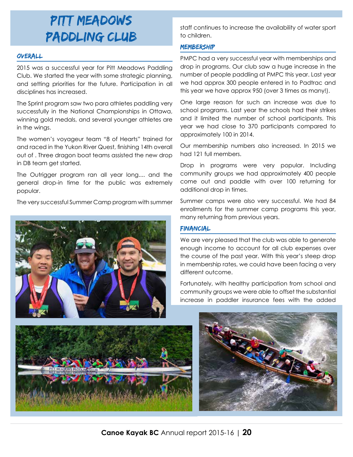### Pitt meadows paddling club

#### Overall

2015 was a successful year for Pitt Meadows Paddling Club. We started the year with some strategic planning, and setting priorities for the future. Participation in all disciplines has increased.

The Sprint program saw two para athletes paddling very successfully in the National Championships in Ottawa, winning gold medals, and several younger athletes are in the wings.

The women's voyageur team "8 of Hearts" trained for and raced in the Yukon River Quest, finishing 14th overall out of . Three dragon boat teams assisted the new drop in DB team get started.

The Outrigger program ran all year long.... and the general drop-in time for the public was extremely popular.

The very successful Summer Camp program with summer



staff continues to increase the availability of water sport to children.

#### **MEMBERSHIP**

PMPC had a very successful year with memberships and drop in programs. Our club saw a huge increase in the number of people paddling at PMPC this year. Last year we had approx 300 people entered in to Padtrac and this year we have approx 950 (over 3 times as many!).

One large reason for such an increase was due to school programs. Last year the schools had their strikes and it limited the number of school participants. This year we had close to 370 participants compared to approximately 100 in 2014.

Our membership numbers also increased. In 2015 we had 121 full members.

Drop in programs were very popular. Including community groups we had approximately 400 people come out and paddle with over 100 returning for additional drop in times.

Summer camps were also very successful. We had 84 enrollments for the summer camp programs this year, many returning from previous years.

#### **FINANCIAL**

We are very pleased that the club was able to generate enough income to account for all club expenses over the course of the past year. With this year's steep drop in membership rates, we could have been facing a very different outcome.

Fortunately, with healthy participation from school and community groups we were able to offset the substantial increase in paddler insurance fees with the added



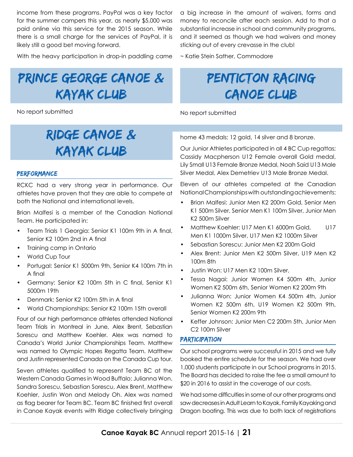income from these programs. PayPal was a key factor for the summer campers this year, as nearly \$5,000 was paid online via this service for the 2015 season. While there is a small charge for the services of PayPal, it is likely still a good bet moving forward.

With the heavy participation in drop-in paddling came

## Prince George Canoe & Kayak Club

No report submitted

### Ridge Canoe & Kayak Club

#### **PERFORMANCE**

RCKC had a very strong year in performance. Our athletes have proven that they are able to compete at both the National and international levels.

Brian Malfesi is a member of the Canadian National Team. He participated in:

- Team Trials 1 Georgia: Senior K1 100m 9th in A final, Senior K2 100m 2nd in A final
- Training camp in Ontario
- • World Cup Tour
- • Portugal: Senior K1 5000m 9th, Senior K4 100m 7th in A final
- • Germany: Senior K2 100m 5th in C final, Senior K1 5000m 19th
- Denmark: Senior K2 100m 5th in A final
- World Championships: Senior K2 100m 15th overall

Four of our high performance athletes attended National Team Trials in Montreal in June, Alex Brent, Sebastian Sorescu and Matthew Koehler. Alex was named to Canada's World Junior Championships Team. Matthew was named to Olympic Hopes Regatta Team. Matthew and Justin represented Canada on the Canada Cup tour.

Seven athletes qualified to represent Team BC at the Western Canada Games in Wood Buffalo; Julianna Won, Sandra Sorescu, Sebastian Sorescu, Alex Brent, Matthew Koehler, Justin Won and Melody Oh. Alex was named as flag bearer for Team BC. Team BC finished first overall in Canoe Kayak events with Ridge collectively bringing a big increase in the amount of waivers, forms and money to reconcile after each session. Add to that a substantial increase in school and community programs, and it seemed as though we had waivers and money sticking out of every crevasse in the club!

~ Katie Stein Sather, Commodore

### PENTICTON RACING canoe club

No report submitted

home 43 medals; 12 gold, 14 silver and 8 bronze.

Our Junior Athletes participated in all 4 BC Cup regattas; Cassidy Macpherson U12 Female overall Gold medal, Lily Small U13 Female Bronze Medal, Noah Said U13 Male Silver Medal, Alex Demetriev U13 Male Bronze Medal.

Eleven of our athletes competed at the Canadian National Championships with outstanding achievements:

- Brian Malfesi: Junior Men K2 200m Gold, Senior Men K1 500m Silver, Senior Men K1 100m Silver, Junior Men K2 500m Silver
- Matthew Koehler: U17 Men K1 6000m Gold, U17 Men K1 1000m Silver, U17 Men K2 1000m Silver
- Sebastian Sorescu: Junior Men K2 200m Gold
- Alex Brent: Junior Men K2 500m Silver, U19 Men K2 100m 8th
- • Justin Won: U17 Men K2 100m Silver,
- Tessa Nagai: Junior Women K4 500m 4th, Junior Women K2 500m 6th, Senior Women K2 200m 9th
- Julianna Won: Junior Women K4 500m 4th, Junior Women K2 500m 6th, U19 Women K2 500m 9th, Senior Women K2 200m 9th
- Keffer Johnson: Junior Men C2 200m 5th, Junior Men C2 100m Silver

#### **PARTICIPATION**

Our school programs were successful in 2015 and we fully booked the entire schedule for the season. We had over 1,000 students participate in our School programs in 2015. The Board has decided to raise the fee a small amount to \$20 in 2016 to assist in the coverage of our costs.

We had some difficulties in some of our other programs and saw decreases in Adult Learn to Kayak, Family Kayaking and Dragon boating. This was due to both lack of registrations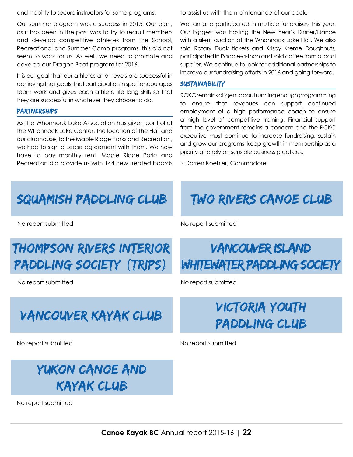and inability to secure instructors for some programs.

Our summer program was a success in 2015. Our plan, as it has been in the past was to try to recruit members and develop competitive athletes from the School, Recreational and Summer Camp programs, this did not seem to work for us. As well, we need to promote and develop our Dragon Boat program for 2016.

It is our goal that our athletes at all levels are successful in achieving their goals; that participation in sport encourages team work and gives each athlete life long skills so that they are successful in whatever they choose to do.

#### **PARTNERSHIPS**

As the Whonnock Lake Association has given control of the Whonnock Lake Center, the location of the Hall and our clubhouse, to the Maple Ridge Parks and Recreation, we had to sign a Lease agreement with them. We now have to pay monthly rent. Maple Ridge Parks and Recreation did provide us with 144 new treated boards

to assist us with the maintenance of our dock.

We ran and participated in multiple fundraisers this year. Our biggest was hosting the New Year's Dinner/Dance with a silent auction at the Whonnock Lake Hall. We also sold Rotary Duck tickets and Krispy Kreme Doughnuts, participated in Paddle-a-thon and sold coffee from a local supplier. We continue to look for additional partnerships to improve our fundraising efforts in 2016 and going forward.

#### **SUSTAINABILITY**

RCKC remains diligent about running enough programming to ensure that revenues can support continued employment of a high performance coach to ensure a high level of competitive training. Financial support from the government remains a concern and the RCKC executive must continue to increase fundraising, sustain and grow our programs, keep growth in membership as a priority and rely on sensible business practices.

~ Darren Koehler, Commodore

### Squamish Paddling CLub Two Rivers Canoe Club

No report submitted No report submitted No report submitted No report submitted No report submitted No report submitted No report submitted No report submitted No report submitted No report submitted No report submitted No

### Thompson Rivers Interior Paddling SOciety (TRIPS)

No report submitted No report submitted

# Vancouver Kayak CLub Victoria Youth

No report submitted No report submitted

### Yukon Canoe and Kayak Club

No report submitted

### Vancouver Island WHITEWATER PADDLING SOCIETY

# Paddling Club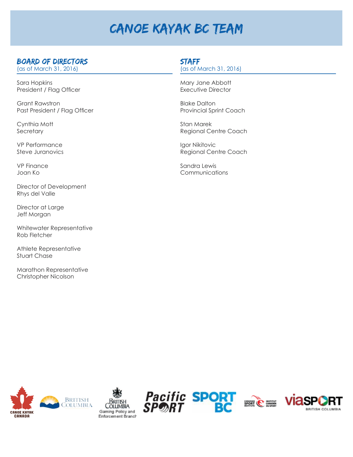### Canoe Kayak BC Team

### Board of Directors

(as of March 31, 2016)

Sara Hopkins President / Flag Officer

Grant Rawstron Past President / Flag Officer

Cynthia Mott **Secretary** 

VP Performance Steve Juranovics

VP Finance Joan Ko

Director of Development Rhys del Valle

Director at Large Jeff Morgan

Whitewater Representative Rob Fletcher

Athlete Representative Stuart Chase

Marathon Representative Christopher Nicolson

### **STAFF**

(as of March 31, 2016)

Mary Jane Abbott Executive Director

Blake Dalton Provincial Sprint Coach

Stan Marek Regional Centre Coach

Igor Nikitovic Regional Centre Coach

Sandra Lewis Communications